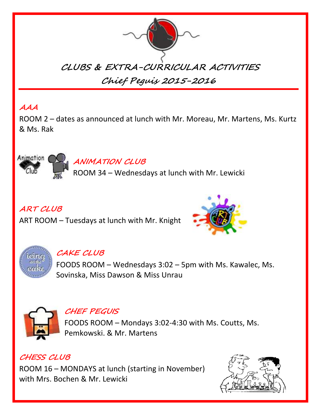

# **AAA**

Animation (

ROOM 2 – dates as announced at lunch with Mr. Moreau, Mr. Martens, Ms. Kurtz & Ms. Rak

ROOM 34 – Wednesdays at lunch with Mr. Lewicki

# **ART CLUB**

ART ROOM – Tuesdays at lunch with Mr. Knight

**ANIMATION CLUB**





# **CAKE CLUB**

FOODS ROOM – Wednesdays 3:02 – 5pm with Ms. Kawalec, Ms. Sovinska, Miss Dawson & Miss Unrau



## **CHEF PEGUIS**

FOODS ROOM – Mondays 3:02-4:30 with Ms. Coutts, Ms. Pemkowski. & Mr. Martens

## **CHESS CLUB**

ROOM 16 – MONDAYS at lunch (starting in November) with Mrs. Bochen & Mr. Lewicki

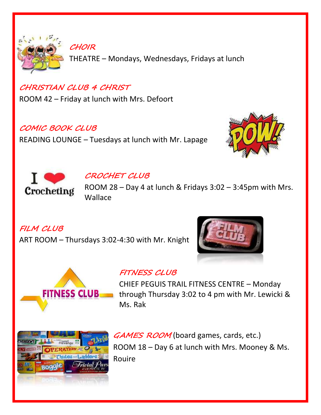

THEATRE – Mondays, Wednesdays, Fridays at lunch

## **CHRISTIAN CLUB 4 CHRIST**

**CHOIR**

ROOM 42 – Friday at lunch with Mrs. Defoort

## **COMIC BOOK CLUB**

READING LOUNGE – Tuesdays at lunch with Mr. Lapage





## **CROCHET CLUB**

ROOM 28 – Day 4 at lunch & Fridays 3:02 – 3:45pm with Mrs. Wallace

**FILM CLUB**

ART ROOM – Thursdays 3:02-4:30 with Mr. Knight





## **FITNESS CLUB**

CHIEF PEGUIS TRAIL FITNESS CENTRE – Monday through Thursday 3:02 to 4 pm with Mr. Lewicki & Ms. Rak



GAMES ROOM (board games, cards, etc.) ROOM 18 – Day 6 at lunch with Mrs. Mooney & Ms. Rouire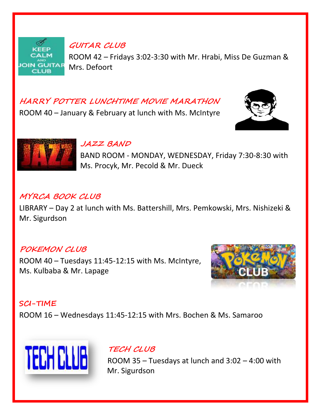

**GUITAR CLUB**

ROOM 42 – Fridays 3:02-3:30 with Mr. Hrabi, Miss De Guzman & Mrs. Defoort

# **HARRY POTTER LUNCHTIME MOVIE MARATHON**

ROOM 40 – January & February at lunch with Ms. McIntyre





#### **JAZZ BAND**

BAND ROOM - MONDAY, WEDNESDAY, Friday 7:30-8:30 with Ms. Procyk, Mr. Pecold & Mr. Dueck

## **MYRCA BOOK CLUB**

LIBRARY – Day 2 at lunch with Ms. Battershill, Mrs. Pemkowski, Mrs. Nishizeki & Mr. Sigurdson

### **POKEMON CLUB**

ROOM 40 – Tuesdays 11:45-12:15 with Ms. McIntyre, Ms. Kulbaba & Mr. Lapage



### **SCI-TIME**

ROOM 16 – Wednesdays 11:45-12:15 with Mrs. Bochen & Ms. Samaroo



**TECH CLUB**

ROOM 35 – Tuesdays at lunch and 3:02 – 4:00 with Mr. Sigurdson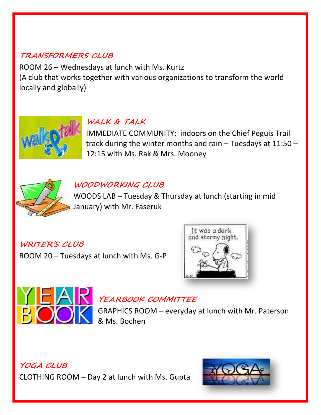# **TRANSFORMERS CLUB**

ROOM 26 – Wednesdays at lunch with Ms. Kurtz (A club that works together with various organizations to transform the world locally and globally)



# **WALK & TALK**

IMMEDIATE COMMUNITY; indoors on the Chief Peguis Trail track during the winter months and rain – Tuesdays at 11:50 – 12:15 with Ms. Rak & Mrs. Mooney



## **WOODWORKING CLUB**

WOODS LAB – Tuesday & Thursday at lunch (starting in mid January) with Mr. Faseruk

**WRITER'S CLUB** ROOM 20 – Tuesdays at lunch with Ms. G-P





# **THE YEARBOOK COMMITTEE**

GRAPHICS ROOM – everyday at lunch with Mr. Paterson & Ms. Bochen

**YOGA CLUB** CLOTHING ROOM – Day 2 at lunch with Ms. Gupta